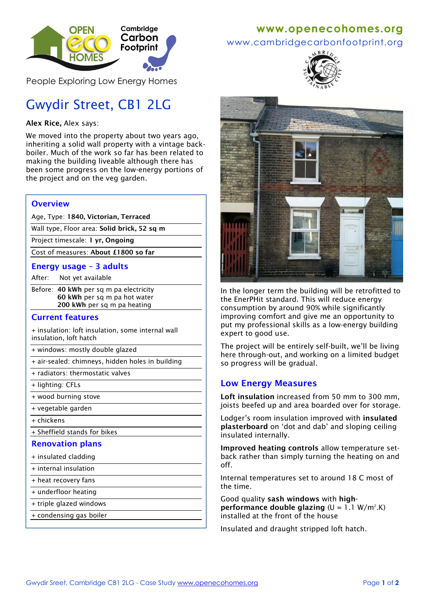

People Exploring Low Energy Homes

# Gwydir Street, CB1 2LG

#### **Alex Rice,** Alex says:

We moved into the property about two years ago, inheriting a solid wall property with a vintage backboiler. Much of the work so far has been related to making the building liveable although there has been some progress on the low-energy portions of the project and on the veg garden.

### **Overview**

Age, Type: **1840, Victorian, Terraced**

Wall type, Floor area: **Solid brick, 52 sq m**

Project timescale: **1 yr, Ongoing**

Cost of measures: **About £1800 so far**

#### **Energy usage – 3 adults**

After: Not yet available

Before: **40 kWh** per sq m pa electricity **60 kWh** per sq m pa hot water **200 kWh** per sq m pa heating

#### **Current features**

+ insulation: loft insulation, some internal wall insulation, loft hatch

+ windows: mostly double glazed

- $\overline{+}$  air-sealed: chimneys, hidden holes in building
- + radiators: thermostatic valves
- + lighting: CFLs
- + wood burning stove
- + vegetable garden
- + chickens

+ Sheffield stands for bikes

#### **Renovation plans**

- + insulated cladding
- + internal insulation
- + heat recovery fans
- + underfloor heating
- + triple glazed windows
- + condensing gas boiler

## **www[.openecohomes.org](http://www.openecohomes.org/)**

www.cambridgecarbonfootprint.org





In the longer term the building will be retrofitted to the EnerPHit standard. This will reduce energy consumption by around 90% while significantly improving comfort and give me an opportunity to put my professional skills as a low-energy building expert to good use.

The project will be entirely self-built, we'll be living here through-out, and working on a limited budget so progress will be gradual.

## **Low Energy Measures**

**Loft insulation** increased from 50 mm to 300 mm, joists beefed up and area boarded over for storage.

Lodger's room insulation improved with **insulated plasterboard** on 'dot and dab' and sloping ceiling insulated internally.

**Improved heating controls** allow temperature setback rather than simply turning the heating on and off.

Internal temperatures set to around 18 C most of the time.

Good quality **sash windows** with **highperformance double glazing**  $(U = 1.1 W/m^2.K)$ installed at the front of the house

Insulated and draught stripped loft hatch.